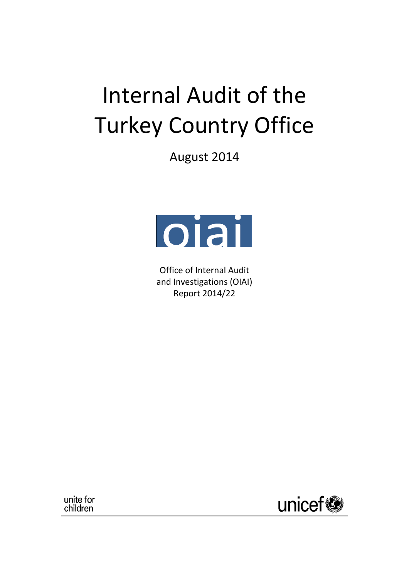# Internal Audit of the Turkey Country Office

August 2014



Office of Internal Audit and Investigations (OIAI) Report 2014/22

unite for children

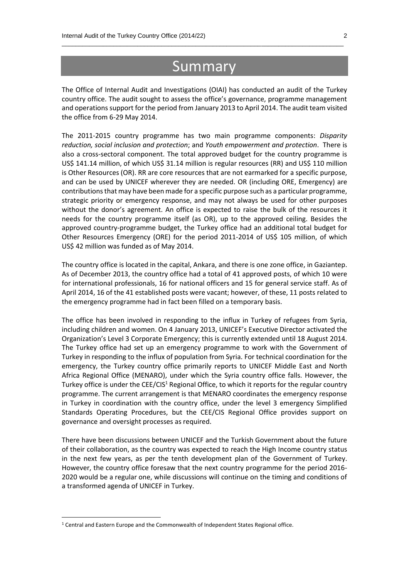# Summary

 $\_$  , and the set of the set of the set of the set of the set of the set of the set of the set of the set of the set of the set of the set of the set of the set of the set of the set of the set of the set of the set of th

The Office of Internal Audit and Investigations (OIAI) has conducted an audit of the Turkey country office. The audit sought to assess the office's governance, programme management and operations support for the period from January 2013 to April 2014. The audit team visited the office from 6-29 May 2014.

The 2011-2015 country programme has two main programme components: *Disparity reduction, social inclusion and protection*; and *Youth empowerment and protection*. There is also a cross-sectoral component. The total approved budget for the country programme is US\$ 141.14 million, of which US\$ 31.14 million is regular resources (RR) and US\$ 110 million is Other Resources (OR). RR are core resources that are not earmarked for a specific purpose, and can be used by UNICEF wherever they are needed. OR (including ORE, Emergency) are contributions that may have been made for a specific purpose such as a particular programme, strategic priority or emergency response, and may not always be used for other purposes without the donor's agreement. An office is expected to raise the bulk of the resources it needs for the country programme itself (as OR), up to the approved ceiling. Besides the approved country-programme budget, the Turkey office had an additional total budget for Other Resources Emergency (ORE) for the period 2011-2014 of US\$ 105 million, of which US\$ 42 million was funded as of May 2014.

The country office is located in the capital, Ankara, and there is one zone office, in Gaziantep. As of December 2013, the country office had a total of 41 approved posts, of which 10 were for international professionals, 16 for national officers and 15 for general service staff. As of April 2014, 16 of the 41 established posts were vacant; however, of these, 11 posts related to the emergency programme had in fact been filled on a temporary basis.

The office has been involved in responding to the influx in Turkey of refugees from Syria, including children and women. On 4 January 2013, UNICEF's Executive Director activated the Organization's Level 3 Corporate Emergency; this is currently extended until 18 August 2014. The Turkey office had set up an emergency programme to work with the Government of Turkey in responding to the influx of population from Syria. For technical coordination for the emergency, the Turkey country office primarily reports to UNICEF Middle East and North Africa Regional Office (MENARO), under which the Syria country office falls. However, the Turkey office is under the  $CEE/CIS<sup>1</sup>$  Regional Office, to which it reports for the regular country programme. The current arrangement is that MENARO coordinates the emergency response in Turkey in coordination with the country office, under the level 3 emergency Simplified Standards Operating Procedures, but the CEE/CIS Regional Office provides support on governance and oversight processes as required.

There have been discussions between UNICEF and the Turkish Government about the future of their collaboration, as the country was expected to reach the High Income country status in the next few years, as per the tenth development plan of the Government of Turkey. However, the country office foresaw that the next country programme for the period 2016- 2020 would be a regular one, while discussions will continue on the timing and conditions of a transformed agenda of UNICEF in Turkey.

**.** 

<sup>1</sup> Central and Eastern Europe and the Commonwealth of Independent States Regional office.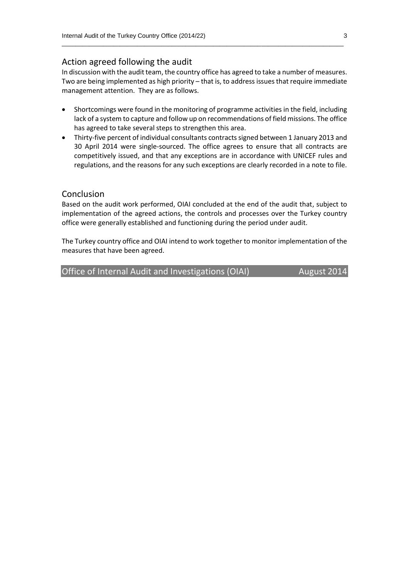#### Action agreed following the audit

In discussion with the audit team, the country office has agreed to take a number of measures. Two are being implemented as high priority – that is, to address issues that require immediate management attention. They are as follows.

 $\_$  , and the set of the set of the set of the set of the set of the set of the set of the set of the set of the set of the set of the set of the set of the set of the set of the set of the set of the set of the set of th

- Shortcomings were found in the monitoring of programme activities in the field, including lack of a system to capture and follow up on recommendations of field missions. The office has agreed to take several steps to strengthen this area.
- Thirty-five percent of individual consultants contracts signed between 1 January 2013 and 30 April 2014 were single-sourced. The office agrees to ensure that all contracts are competitively issued, and that any exceptions are in accordance with UNICEF rules and regulations, and the reasons for any such exceptions are clearly recorded in a note to file.

#### Conclusion

Based on the audit work performed, OIAI concluded at the end of the audit that, subject to implementation of the agreed actions, the controls and processes over the Turkey country office were generally established and functioning during the period under audit.

The Turkey country office and OIAI intend to work together to monitor implementation of the measures that have been agreed.

Office of Internal Audit and Investigations (OIAI) August 2014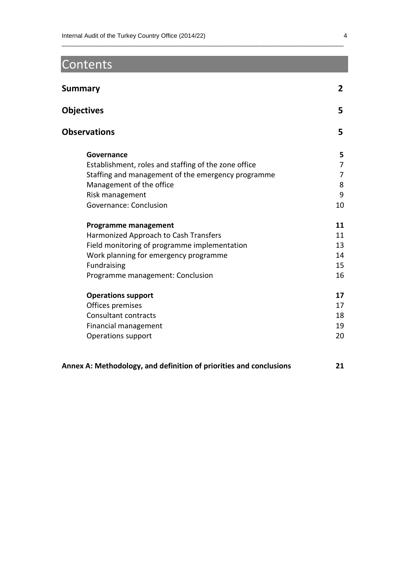# Contents

| Summary                                              | $\overline{2}$ |
|------------------------------------------------------|----------------|
| <b>Objectives</b>                                    | 5              |
| <b>Observations</b>                                  | 5              |
| Governance                                           | 5              |
| Establishment, roles and staffing of the zone office | 7              |
| Staffing and management of the emergency programme   | 7              |
| Management of the office                             | 8              |
| Risk management                                      | 9              |
| Governance: Conclusion                               | 10             |
| <b>Programme management</b>                          | 11             |
| Harmonized Approach to Cash Transfers                | 11             |
| Field monitoring of programme implementation         | 13             |
| Work planning for emergency programme                | 14             |
| Fundraising                                          | 15             |
| Programme management: Conclusion                     | 16             |
| <b>Operations support</b>                            | 17             |
| Offices premises                                     | 17             |
| Consultant contracts                                 | 18             |
| Financial management                                 | 19             |
| Operations support                                   | 20             |
|                                                      |                |

 $\_$  , and the set of the set of the set of the set of the set of the set of the set of the set of the set of the set of the set of the set of the set of the set of the set of the set of the set of the set of the set of th

| Annex A: Methodology, and definition of priorities and conclusions | 21 |
|--------------------------------------------------------------------|----|
|--------------------------------------------------------------------|----|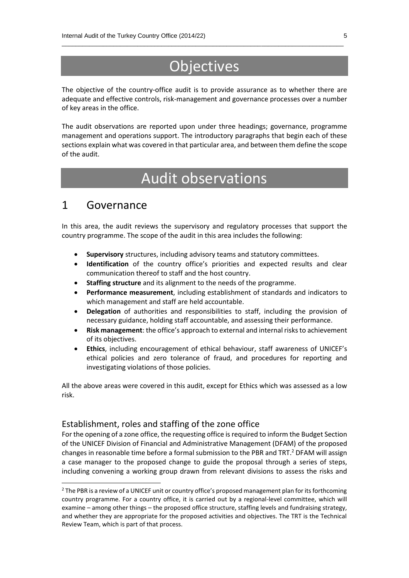# **Objectives**

 $\_$  , and the set of the set of the set of the set of the set of the set of the set of the set of the set of the set of the set of the set of the set of the set of the set of the set of the set of the set of the set of th

The objective of the country-office audit is to provide assurance as to whether there are adequate and effective controls, risk-management and governance processes over a number of key areas in the office.

The audit observations are reported upon under three headings; governance, programme management and operations support. The introductory paragraphs that begin each of these sections explain what was covered in that particular area, and between them define the scope of the audit.

# Audit observations

### 1 Governance

 $\overline{\phantom{a}}$ 

In this area, the audit reviews the supervisory and regulatory processes that support the country programme. The scope of the audit in this area includes the following:

- **Supervisory** structures, including advisory teams and statutory committees.
- **Identification** of the country office's priorities and expected results and clear communication thereof to staff and the host country.
- **Staffing structure** and its alignment to the needs of the programme.
- **Performance measurement**, including establishment of standards and indicators to which management and staff are held accountable.
- **Delegation** of authorities and responsibilities to staff, including the provision of necessary guidance, holding staff accountable, and assessing their performance.
- **Risk management**: the office's approach to external and internal risks to achievement of its objectives.
- **Ethics**, including encouragement of ethical behaviour, staff awareness of UNICEF's ethical policies and zero tolerance of fraud, and procedures for reporting and investigating violations of those policies.

All the above areas were covered in this audit, except for Ethics which was assessed as a low risk.

#### Establishment, roles and staffing of the zone office

For the opening of a zone office, the requesting office is required to inform the Budget Section of the UNICEF Division of Financial and Administrative Management (DFAM) of the proposed changes in reasonable time before a formal submission to the PBR and TRT.<sup>2</sup> DFAM will assign a case manager to the proposed change to guide the proposal through a series of steps, including convening a working group drawn from relevant divisions to assess the risks and

<sup>&</sup>lt;sup>2</sup> The PBR is a review of a UNICEF unit or country office's proposed management plan for its forthcoming country programme. For a country office, it is carried out by a regional-level committee, which will examine – among other things – the proposed office structure, staffing levels and fundraising strategy, and whether they are appropriate for the proposed activities and objectives. The TRT is the Technical Review Team, which is part of that process.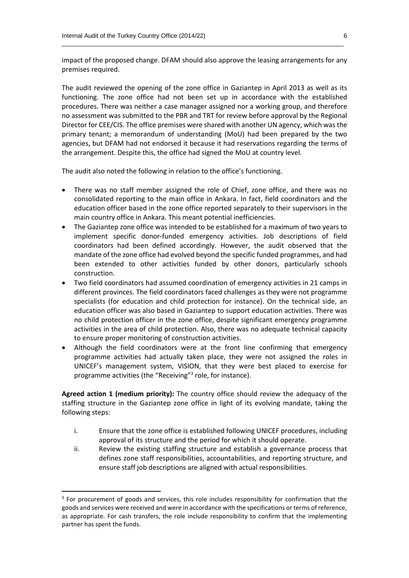impact of the proposed change. DFAM should also approve the leasing arrangements for any premises required.

 $\_$  , and the set of the set of the set of the set of the set of the set of the set of the set of the set of the set of the set of the set of the set of the set of the set of the set of the set of the set of the set of th

The audit reviewed the opening of the zone office in Gaziantep in April 2013 as well as its functioning. The zone office had not been set up in accordance with the established procedures. There was neither a case manager assigned nor a working group, and therefore no assessment was submitted to the PBR and TRT for review before approval by the Regional Director for CEE/CIS. The office premises were shared with another UN agency, which was the primary tenant; a memorandum of understanding (MoU) had been prepared by the two agencies, but DFAM had not endorsed it because it had reservations regarding the terms of the arrangement. Despite this, the office had signed the MoU at country level.

The audit also noted the following in relation to the office's functioning.

- There was no staff member assigned the role of Chief, zone office, and there was no consolidated reporting to the main office in Ankara. In fact, field coordinators and the education officer based in the zone office reported separately to their supervisors in the main country office in Ankara. This meant potential inefficiencies.
- The Gaziantep zone office was intended to be established for a maximum of two years to implement specific donor-funded emergency activities. Job descriptions of field coordinators had been defined accordingly. However, the audit observed that the mandate of the zone office had evolved beyond the specific funded programmes, and had been extended to other activities funded by other donors, particularly schools construction.
- Two field coordinators had assumed coordination of emergency activities in 21 camps in different provinces. The field coordinators faced challenges as they were not programme specialists (for education and child protection for instance). On the technical side, an education officer was also based in Gaziantep to support education activities. There was no child protection officer in the zone office, despite significant emergency programme activities in the area of child protection. Also, there was no adequate technical capacity to ensure proper monitoring of construction activities.
- Although the field coordinators were at the front line confirming that emergency programme activities had actually taken place, they were not assigned the roles in UNICEF's management system, VISION, that they were best placed to exercise for programme activities (the "Receiving"<sup>3</sup> role, for instance).

**Agreed action 1 (medium priority):** The country office should review the adequacy of the staffing structure in the Gaziantep zone office in light of its evolving mandate, taking the following steps:

- i. Ensure that the zone office is established following UNICEF procedures, including approval of its structure and the period for which it should operate.
- ii. Review the existing staffing structure and establish a governance process that defines zone staff responsibilities, accountabilities, and reporting structure, and ensure staff job descriptions are aligned with actual responsibilities.

**.** 

<sup>&</sup>lt;sup>3</sup> For procurement of goods and services, this role includes responsibility for confirmation that the goods and services were received and were in accordance with the specifications or terms of reference, as appropriate. For cash transfers, the role include responsibility to confirm that the implementing partner has spent the funds.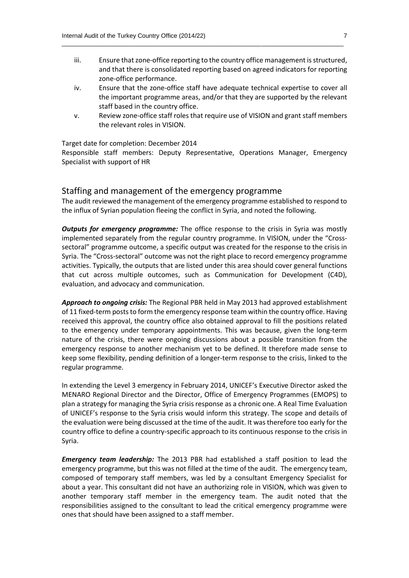iii. Ensure that zone-office reporting to the country office management is structured, and that there is consolidated reporting based on agreed indicators for reporting zone-office performance.

 $\_$  , and the set of the set of the set of the set of the set of the set of the set of the set of the set of the set of the set of the set of the set of the set of the set of the set of the set of the set of the set of th

- iv. Ensure that the zone-office staff have adequate technical expertise to cover all the important programme areas, and/or that they are supported by the relevant staff based in the country office.
- v. Review zone-office staff roles that require use of VISION and grant staff members the relevant roles in VISION.

#### Target date for completion: December 2014

Responsible staff members: Deputy Representative, Operations Manager, Emergency Specialist with support of HR

#### Staffing and management of the emergency programme

The audit reviewed the management of the emergency programme established to respond to the influx of Syrian population fleeing the conflict in Syria, and noted the following.

*Outputs for emergency programme:* The office response to the crisis in Syria was mostly implemented separately from the regular country programme. In VISION, under the "Crosssectoral" programme outcome, a specific output was created for the response to the crisis in Syria. The "Cross-sectoral" outcome was not the right place to record emergency programme activities. Typically, the outputs that are listed under this area should cover general functions that cut across multiple outcomes, such as Communication for Development (C4D), evaluation, and advocacy and communication.

*Approach to ongoing crisis:* The Regional PBR held in May 2013 had approved establishment of 11 fixed-term posts to form the emergency response team within the country office. Having received this approval, the country office also obtained approval to fill the positions related to the emergency under temporary appointments. This was because, given the long-term nature of the crisis, there were ongoing discussions about a possible transition from the emergency response to another mechanism yet to be defined. It therefore made sense to keep some flexibility, pending definition of a longer-term response to the crisis, linked to the regular programme.

In extending the Level 3 emergency in February 2014, UNICEF's Executive Director asked the MENARO Regional Director and the Director, Office of Emergency Programmes (EMOPS) to plan a strategy for managing the Syria crisis response as a chronic one. A Real Time Evaluation of UNICEF's response to the Syria crisis would inform this strategy. The scope and details of the evaluation were being discussed at the time of the audit. It was therefore too early for the country office to define a country-specific approach to its continuous response to the crisis in Syria.

*Emergency team leadership:* The 2013 PBR had established a staff position to lead the emergency programme, but this was not filled at the time of the audit. The emergency team, composed of temporary staff members, was led by a consultant Emergency Specialist for about a year. This consultant did not have an authorizing role in VISION, which was given to another temporary staff member in the emergency team. The audit noted that the responsibilities assigned to the consultant to lead the critical emergency programme were ones that should have been assigned to a staff member.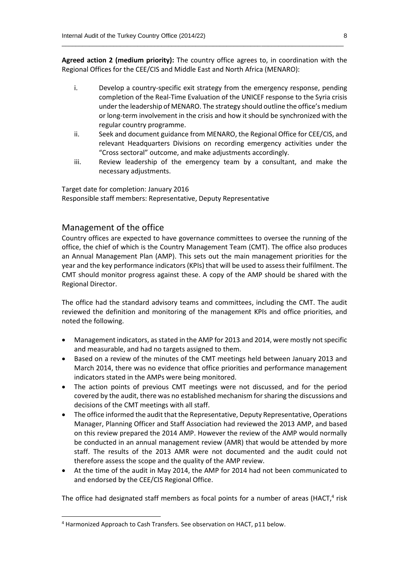**Agreed action 2 (medium priority):** The country office agrees to, in coordination with the Regional Offices for the CEE/CIS and Middle East and North Africa (MENARO):

 $\_$  , and the set of the set of the set of the set of the set of the set of the set of the set of the set of the set of the set of the set of the set of the set of the set of the set of the set of the set of the set of th

- i. Develop a country-specific exit strategy from the emergency response, pending completion of the Real-Time Evaluation of the UNICEF response to the Syria crisis under the leadership of MENARO. The strategy should outline the office's medium or long-term involvement in the crisis and how it should be synchronized with the regular country programme.
- ii. Seek and document guidance from MENARO, the Regional Office for CEE/CIS, and relevant Headquarters Divisions on recording emergency activities under the "Cross sectoral" outcome, and make adjustments accordingly.
- iii. Review leadership of the emergency team by a consultant, and make the necessary adjustments.

Target date for completion: January 2016 Responsible staff members: Representative, Deputy Representative

#### Management of the office

**.** 

Country offices are expected to have governance committees to oversee the running of the office, the chief of which is the Country Management Team (CMT). The office also produces an Annual Management Plan (AMP). This sets out the main management priorities for the year and the key performance indicators (KPIs) that will be used to assess their fulfilment. The CMT should monitor progress against these. A copy of the AMP should be shared with the Regional Director.

The office had the standard advisory teams and committees, including the CMT. The audit reviewed the definition and monitoring of the management KPIs and office priorities, and noted the following.

- Management indicators, as stated in the AMP for 2013 and 2014, were mostly not specific and measurable, and had no targets assigned to them.
- Based on a review of the minutes of the CMT meetings held between January 2013 and March 2014, there was no evidence that office priorities and performance management indicators stated in the AMPs were being monitored.
- The action points of previous CMT meetings were not discussed, and for the period covered by the audit, there was no established mechanism for sharing the discussions and decisions of the CMT meetings with all staff.
- The office informed the audit that the Representative, Deputy Representative, Operations Manager, Planning Officer and Staff Association had reviewed the 2013 AMP, and based on this review prepared the 2014 AMP. However the review of the AMP would normally be conducted in an annual management review (AMR) that would be attended by more staff. The results of the 2013 AMR were not documented and the audit could not therefore assess the scope and the quality of the AMP review.
- At the time of the audit in May 2014, the AMP for 2014 had not been communicated to and endorsed by the CEE/CIS Regional Office.

The office had designated staff members as focal points for a number of areas (HACT,<sup>4</sup> risk

<sup>4</sup> Harmonized Approach to Cash Transfers. See observation on HACT, p11 below.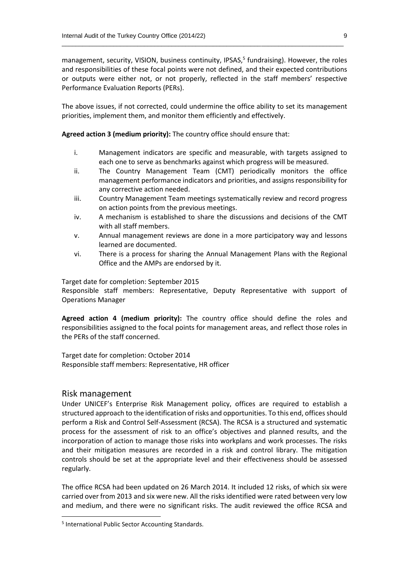management, security, VISION, business continuity, IPSAS, 5 fundraising). However, the roles and responsibilities of these focal points were not defined, and their expected contributions or outputs were either not, or not properly, reflected in the staff members' respective Performance Evaluation Reports (PERs).

 $\_$  , and the set of the set of the set of the set of the set of the set of the set of the set of the set of the set of the set of the set of the set of the set of the set of the set of the set of the set of the set of th

The above issues, if not corrected, could undermine the office ability to set its management priorities, implement them, and monitor them efficiently and effectively.

**Agreed action 3 (medium priority):** The country office should ensure that:

- i. Management indicators are specific and measurable, with targets assigned to each one to serve as benchmarks against which progress will be measured.
- ii. The Country Management Team (CMT) periodically monitors the office management performance indicators and priorities, and assigns responsibility for any corrective action needed.
- iii. Country Management Team meetings systematically review and record progress on action points from the previous meetings.
- iv. A mechanism is established to share the discussions and decisions of the CMT with all staff members.
- v. Annual management reviews are done in a more participatory way and lessons learned are documented.
- vi. There is a process for sharing the Annual Management Plans with the Regional Office and the AMPs are endorsed by it.

Target date for completion: September 2015

Responsible staff members: Representative, Deputy Representative with support of Operations Manager

**Agreed action 4 (medium priority):** The country office should define the roles and responsibilities assigned to the focal points for management areas, and reflect those roles in the PERs of the staff concerned.

Target date for completion: October 2014 Responsible staff members: Representative, HR officer

#### Risk management

**.** 

Under UNICEF's Enterprise Risk Management policy, offices are required to establish a structured approach to the identification of risks and opportunities. To this end, offices should perform a Risk and Control Self-Assessment (RCSA). The RCSA is a structured and systematic process for the assessment of risk to an office's objectives and planned results, and the incorporation of action to manage those risks into workplans and work processes. The risks and their mitigation measures are recorded in a risk and control library. The mitigation controls should be set at the appropriate level and their effectiveness should be assessed regularly.

The office RCSA had been updated on 26 March 2014. It included 12 risks, of which six were carried over from 2013 and six were new. All the risks identified were rated between very low and medium, and there were no significant risks. The audit reviewed the office RCSA and

<sup>5</sup> International Public Sector Accounting Standards.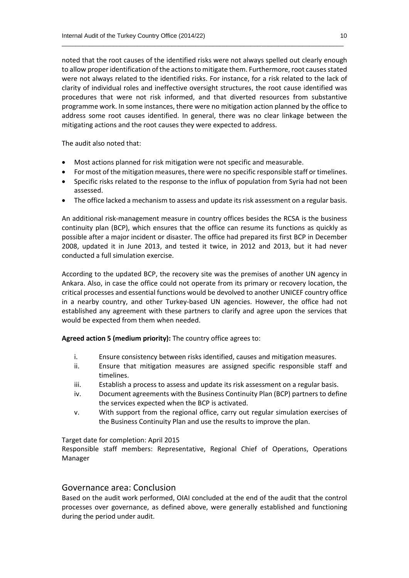noted that the root causes of the identified risks were not always spelled out clearly enough to allow proper identification of the actions to mitigate them. Furthermore, root causes stated were not always related to the identified risks. For instance, for a risk related to the lack of clarity of individual roles and ineffective oversight structures, the root cause identified was procedures that were not risk informed, and that diverted resources from substantive programme work. In some instances, there were no mitigation action planned by the office to address some root causes identified. In general, there was no clear linkage between the mitigating actions and the root causes they were expected to address.

 $\_$  , and the set of the set of the set of the set of the set of the set of the set of the set of the set of the set of the set of the set of the set of the set of the set of the set of the set of the set of the set of th

The audit also noted that:

- Most actions planned for risk mitigation were not specific and measurable.
- For most of the mitigation measures, there were no specific responsible staff or timelines.
- Specific risks related to the response to the influx of population from Syria had not been assessed.
- The office lacked a mechanism to assess and update its risk assessment on a regular basis.

An additional risk-management measure in country offices besides the RCSA is the business continuity plan (BCP), which ensures that the office can resume its functions as quickly as possible after a major incident or disaster. The office had prepared its first BCP in December 2008, updated it in June 2013, and tested it twice, in 2012 and 2013, but it had never conducted a full simulation exercise.

According to the updated BCP, the recovery site was the premises of another UN agency in Ankara. Also, in case the office could not operate from its primary or recovery location, the critical processes and essential functions would be devolved to another UNICEF country office in a nearby country, and other Turkey-based UN agencies. However, the office had not established any agreement with these partners to clarify and agree upon the services that would be expected from them when needed.

**Agreed action 5 (medium priority):** The country office agrees to:

- i. Ensure consistency between risks identified, causes and mitigation measures.
- ii. Ensure that mitigation measures are assigned specific responsible staff and timelines.
- iii. Establish a process to assess and update its risk assessment on a regular basis.
- iv. Document agreements with the Business Continuity Plan (BCP) partners to define the services expected when the BCP is activated.
- v. With support from the regional office, carry out regular simulation exercises of the Business Continuity Plan and use the results to improve the plan.

Target date for completion: April 2015

Responsible staff members: Representative, Regional Chief of Operations, Operations Manager

#### Governance area: Conclusion

Based on the audit work performed, OIAI concluded at the end of the audit that the control processes over governance, as defined above, were generally established and functioning during the period under audit.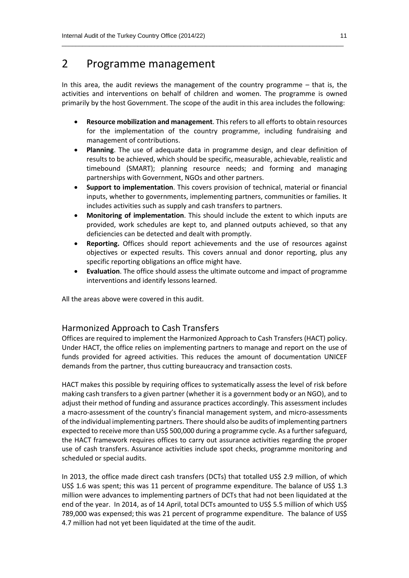# 2 Programme management

In this area, the audit reviews the management of the country programme – that is, the activities and interventions on behalf of children and women. The programme is owned primarily by the host Government. The scope of the audit in this area includes the following:

 $\_$  , and the set of the set of the set of the set of the set of the set of the set of the set of the set of the set of the set of the set of the set of the set of the set of the set of the set of the set of the set of th

- **Resource mobilization and management**. This refers to all efforts to obtain resources for the implementation of the country programme, including fundraising and management of contributions.
- **Planning**. The use of adequate data in programme design, and clear definition of results to be achieved, which should be specific, measurable, achievable, realistic and timebound (SMART); planning resource needs; and forming and managing partnerships with Government, NGOs and other partners.
- **Support to implementation**. This covers provision of technical, material or financial inputs, whether to governments, implementing partners, communities or families. It includes activities such as supply and cash transfers to partners.
- **Monitoring of implementation**. This should include the extent to which inputs are provided, work schedules are kept to, and planned outputs achieved, so that any deficiencies can be detected and dealt with promptly.
- **Reporting.** Offices should report achievements and the use of resources against objectives or expected results. This covers annual and donor reporting, plus any specific reporting obligations an office might have.
- **Evaluation**. The office should assess the ultimate outcome and impact of programme interventions and identify lessons learned.

All the areas above were covered in this audit.

#### Harmonized Approach to Cash Transfers

Offices are required to implement the Harmonized Approach to Cash Transfers (HACT) policy. Under HACT, the office relies on implementing partners to manage and report on the use of funds provided for agreed activities. This reduces the amount of documentation UNICEF demands from the partner, thus cutting bureaucracy and transaction costs.

HACT makes this possible by requiring offices to systematically assess the level of risk before making cash transfers to a given partner (whether it is a government body or an NGO), and to adjust their method of funding and assurance practices accordingly. This assessment includes a macro‐assessment of the country's financial management system, and micro‐assessments of the individual implementing partners. There should also be audits of implementing partners expected to receive more than US\$ 500,000 during a programme cycle. As a further safeguard, the HACT framework requires offices to carry out assurance activities regarding the proper use of cash transfers. Assurance activities include spot checks, programme monitoring and scheduled or special audits.

In 2013, the office made direct cash transfers (DCTs) that totalled US\$ 2.9 million, of which US\$ 1.6 was spent; this was 11 percent of programme expenditure. The balance of US\$ 1.3 million were advances to implementing partners of DCTs that had not been liquidated at the end of the year. In 2014, as of 14 April, total DCTs amounted to US\$ 5.5 million of which US\$ 789,000 was expensed; this was 21 percent of programme expenditure. The balance of US\$ 4.7 million had not yet been liquidated at the time of the audit.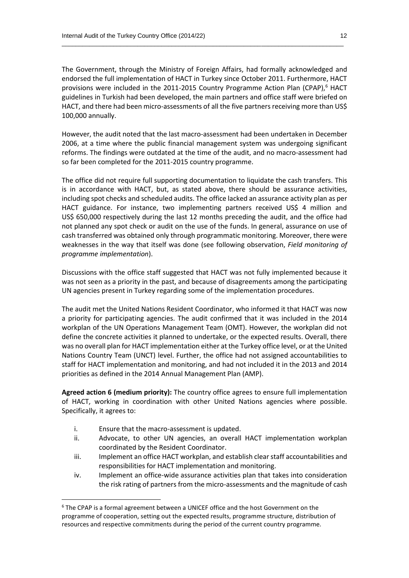The Government, through the Ministry of Foreign Affairs, had formally acknowledged and endorsed the full implementation of HACT in Turkey since October 2011. Furthermore, HACT provisions were included in the 2011-2015 Country Programme Action Plan (CPAP), $6$  HACT guidelines in Turkish had been developed, the main partners and office staff were briefed on HACT, and there had been micro-assessments of all the five partners receiving more than US\$ 100,000 annually.

 $\_$  , and the set of the set of the set of the set of the set of the set of the set of the set of the set of the set of the set of the set of the set of the set of the set of the set of the set of the set of the set of th

However, the audit noted that the last macro-assessment had been undertaken in December 2006, at a time where the public financial management system was undergoing significant reforms. The findings were outdated at the time of the audit, and no macro-assessment had so far been completed for the 2011-2015 country programme.

The office did not require full supporting documentation to liquidate the cash transfers. This is in accordance with HACT, but, as stated above, there should be assurance activities, including spot checks and scheduled audits. The office lacked an assurance activity plan as per HACT guidance. For instance, two implementing partners received US\$ 4 million and US\$ 650,000 respectively during the last 12 months preceding the audit, and the office had not planned any spot check or audit on the use of the funds. In general, assurance on use of cash transferred was obtained only through programmatic monitoring. Moreover, there were weaknesses in the way that itself was done (see following observation, *Field monitoring of programme implementation*).

Discussions with the office staff suggested that HACT was not fully implemented because it was not seen as a priority in the past, and because of disagreements among the participating UN agencies present in Turkey regarding some of the implementation procedures.

The audit met the United Nations Resident Coordinator, who informed it that HACT was now a priority for participating agencies. The audit confirmed that it was included in the 2014 workplan of the UN Operations Management Team (OMT). However, the workplan did not define the concrete activities it planned to undertake, or the expected results. Overall, there was no overall plan for HACT implementation either at the Turkey office level, or at the United Nations Country Team (UNCT) level. Further, the office had not assigned accountabilities to staff for HACT implementation and monitoring, and had not included it in the 2013 and 2014 priorities as defined in the 2014 Annual Management Plan (AMP).

**Agreed action 6 (medium priority):** The country office agrees to ensure full implementation of HACT, working in coordination with other United Nations agencies where possible. Specifically, it agrees to:

i. Ensure that the macro-assessment is updated.

**.** 

- ii. Advocate, to other UN agencies, an overall HACT implementation workplan coordinated by the Resident Coordinator.
- iii. Implement an office HACT workplan, and establish clear staff accountabilities and responsibilities for HACT implementation and monitoring.
- iv. Implement an office-wide assurance activities plan that takes into consideration the risk rating of partners from the micro-assessments and the magnitude of cash

 $6$  The CPAP is a formal agreement between a UNICEF office and the host Government on the programme of cooperation, setting out the expected results, programme structure, distribution of resources and respective commitments during the period of the current country programme.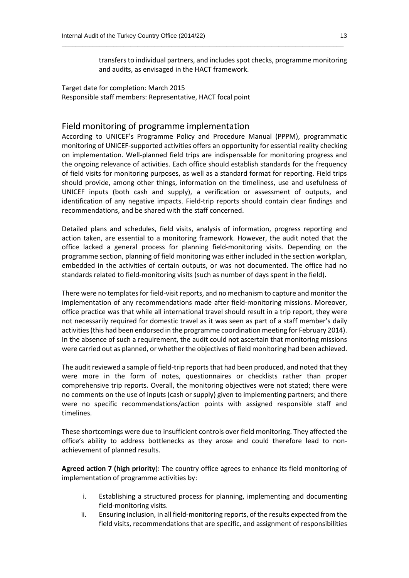transfers to individual partners, and includes spot checks, programme monitoring and audits, as envisaged in the HACT framework.

 $\_$  , and the set of the set of the set of the set of the set of the set of the set of the set of the set of the set of the set of the set of the set of the set of the set of the set of the set of the set of the set of th

Target date for completion: March 2015 Responsible staff members: Representative, HACT focal point

#### Field monitoring of programme implementation

According to UNICEF's Programme Policy and Procedure Manual (PPPM), programmatic monitoring of UNICEF-supported activities offers an opportunity for essential reality checking on implementation. Well-planned field trips are indispensable for monitoring progress and the ongoing relevance of activities. Each office should establish standards for the frequency of field visits for monitoring purposes, as well as a standard format for reporting. Field trips should provide, among other things, information on the timeliness, use and usefulness of UNICEF inputs (both cash and supply), a verification or assessment of outputs, and identification of any negative impacts. Field-trip reports should contain clear findings and recommendations, and be shared with the staff concerned.

Detailed plans and schedules, field visits, analysis of information, progress reporting and action taken, are essential to a monitoring framework. However, the audit noted that the office lacked a general process for planning field-monitoring visits. Depending on the programme section, planning of field monitoring was either included in the section workplan, embedded in the activities of certain outputs, or was not documented. The office had no standards related to field-monitoring visits (such as number of days spent in the field).

There were no templates for field-visit reports, and no mechanism to capture and monitor the implementation of any recommendations made after field-monitoring missions. Moreover, office practice was that while all international travel should result in a trip report, they were not necessarily required for domestic travel as it was seen as part of a staff member's daily activities(this had been endorsed in the programme coordination meeting for February 2014). In the absence of such a requirement, the audit could not ascertain that monitoring missions were carried out as planned, or whether the objectives of field monitoring had been achieved.

The audit reviewed a sample of field-trip reports that had been produced, and noted that they were more in the form of notes, questionnaires or checklists rather than proper comprehensive trip reports. Overall, the monitoring objectives were not stated; there were no comments on the use of inputs (cash or supply) given to implementing partners; and there were no specific recommendations/action points with assigned responsible staff and timelines.

These shortcomings were due to insufficient controls over field monitoring. They affected the office's ability to address bottlenecks as they arose and could therefore lead to nonachievement of planned results.

**Agreed action 7 (high priority**): The country office agrees to enhance its field monitoring of implementation of programme activities by:

- i. Establishing a structured process for planning, implementing and documenting field-monitoring visits.
- ii. Ensuring inclusion, in all field-monitoring reports, of the results expected from the field visits, recommendations that are specific, and assignment of responsibilities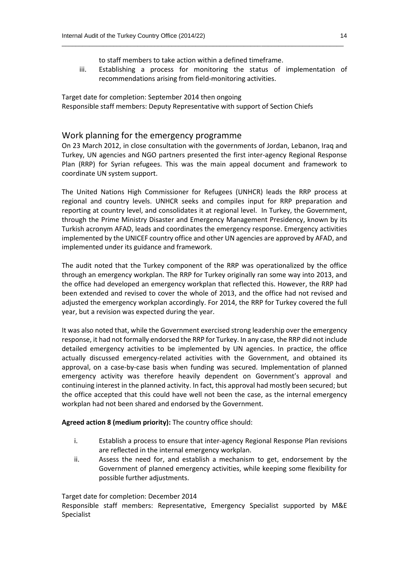- 
- to staff members to take action within a defined timeframe.
- iii. Establishing a process for monitoring the status of implementation of recommendations arising from field-monitoring activities.

 $\_$  , and the set of the set of the set of the set of the set of the set of the set of the set of the set of the set of the set of the set of the set of the set of the set of the set of the set of the set of the set of th

Target date for completion: September 2014 then ongoing Responsible staff members: Deputy Representative with support of Section Chiefs

#### Work planning for the emergency programme

On 23 March 2012, in close consultation with the governments of Jordan, Lebanon, Iraq and Turkey, UN agencies and NGO partners presented the first inter‐agency Regional Response Plan (RRP) for Syrian refugees. This was the main appeal document and framework to coordinate UN system support.

The United Nations High Commissioner for Refugees (UNHCR) leads the RRP process at regional and country levels. UNHCR seeks and compiles input for RRP preparation and reporting at country level, and consolidates it at regional level. In Turkey, the Government, through the Prime Ministry Disaster and Emergency Management Presidency, known by its Turkish acronym AFAD, leads and coordinates the emergency response. Emergency activities implemented by the UNICEF country office and other UN agencies are approved by AFAD, and implemented under its guidance and framework.

The audit noted that the Turkey component of the RRP was operationalized by the office through an emergency workplan. The RRP for Turkey originally ran some way into 2013, and the office had developed an emergency workplan that reflected this. However, the RRP had been extended and revised to cover the whole of 2013, and the office had not revised and adjusted the emergency workplan accordingly. For 2014, the RRP for Turkey covered the full year, but a revision was expected during the year.

It was also noted that, while the Government exercised strong leadership over the emergency response, it had not formally endorsed the RRP for Turkey. In any case, the RRP did not include detailed emergency activities to be implemented by UN agencies. In practice, the office actually discussed emergency-related activities with the Government, and obtained its approval, on a case-by-case basis when funding was secured. Implementation of planned emergency activity was therefore heavily dependent on Government's approval and continuing interest in the planned activity. In fact, this approval had mostly been secured; but the office accepted that this could have well not been the case, as the internal emergency workplan had not been shared and endorsed by the Government.

**Agreed action 8 (medium priority):** The country office should:

- i. Establish a process to ensure that inter‐agency Regional Response Plan revisions are reflected in the internal emergency workplan.
- ii. Assess the need for, and establish a mechanism to get, endorsement by the Government of planned emergency activities, while keeping some flexibility for possible further adjustments.

Target date for completion: December 2014

Responsible staff members: Representative, Emergency Specialist supported by M&E Specialist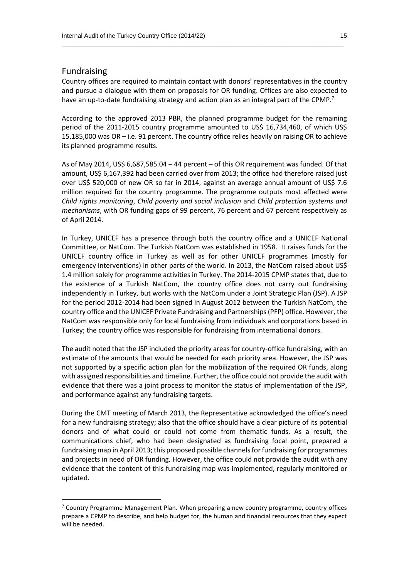#### Fundraising

**.** 

Country offices are required to maintain contact with donors' representatives in the country and pursue a dialogue with them on proposals for OR funding. Offices are also expected to have an up-to-date fundraising strategy and action plan as an integral part of the CPMP.<sup>7</sup>

 $\_$  , and the set of the set of the set of the set of the set of the set of the set of the set of the set of the set of the set of the set of the set of the set of the set of the set of the set of the set of the set of th

According to the approved 2013 PBR, the planned programme budget for the remaining period of the 2011-2015 country programme amounted to US\$ 16,734,460, of which US\$ 15,185,000 was OR – i.e. 91 percent. The country office relies heavily on raising OR to achieve its planned programme results.

As of May 2014, US\$ 6,687,585.04 – 44 percent – of this OR requirement was funded. Of that amount, US\$ 6,167,392 had been carried over from 2013; the office had therefore raised just over US\$ 520,000 of new OR so far in 2014, against an average annual amount of US\$ 7.6 million required for the country programme. The programme outputs most affected were *Child rights monitoring*, *Child poverty and social inclusion* and *Child protection systems and mechanisms*, with OR funding gaps of 99 percent, 76 percent and 67 percent respectively as of April 2014.

In Turkey, UNICEF has a presence through both the country office and a UNICEF National Committee, or NatCom. The Turkish NatCom was established in 1958. It raises funds for the UNICEF country office in Turkey as well as for other UNICEF programmes (mostly for emergency interventions) in other parts of the world. In 2013, the NatCom raised about US\$ 1.4 million solely for programme activities in Turkey. The 2014-2015 CPMP states that, due to the existence of a Turkish NatCom, the country office does not carry out fundraising independently in Turkey, but works with the NatCom under a Joint Strategic Plan (JSP). A JSP for the period 2012-2014 had been signed in August 2012 between the Turkish NatCom, the country office and the UNICEF Private Fundraising and Partnerships(PFP) office. However, the NatCom was responsible only for local fundraising from individuals and corporations based in Turkey; the country office was responsible for fundraising from international donors.

The audit noted that the JSP included the priority areas for country-office fundraising, with an estimate of the amounts that would be needed for each priority area. However, the JSP was not supported by a specific action plan for the mobilization of the required OR funds, along with assigned responsibilities and timeline. Further, the office could not provide the audit with evidence that there was a joint process to monitor the status of implementation of the JSP, and performance against any fundraising targets.

During the CMT meeting of March 2013, the Representative acknowledged the office's need for a new fundraising strategy; also that the office should have a clear picture of its potential donors and of what could or could not come from thematic funds. As a result, the communications chief, who had been designated as fundraising focal point, prepared a fundraising map in April 2013; this proposed possible channels for fundraising for programmes and projects in need of OR funding. However, the office could not provide the audit with any evidence that the content of this fundraising map was implemented, regularly monitored or updated.

 $7$  Country Programme Management Plan. When preparing a new country programme, country offices prepare a CPMP to describe, and help budget for, the human and financial resources that they expect will be needed.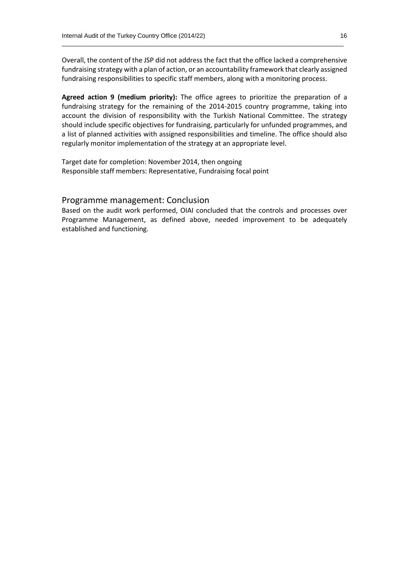Overall, the content of the JSP did not address the fact that the office lacked a comprehensive fundraising strategy with a plan of action, or an accountability framework that clearly assigned fundraising responsibilities to specific staff members, along with a monitoring process.

 $\_$  , and the set of the set of the set of the set of the set of the set of the set of the set of the set of the set of the set of the set of the set of the set of the set of the set of the set of the set of the set of th

**Agreed action 9 (medium priority):** The office agrees to prioritize the preparation of a fundraising strategy for the remaining of the 2014-2015 country programme, taking into account the division of responsibility with the Turkish National Committee. The strategy should include specific objectives for fundraising, particularly for unfunded programmes, and a list of planned activities with assigned responsibilities and timeline. The office should also regularly monitor implementation of the strategy at an appropriate level.

Target date for completion: November 2014, then ongoing Responsible staff members: Representative, Fundraising focal point

#### Programme management: Conclusion

Based on the audit work performed, OIAI concluded that the controls and processes over Programme Management, as defined above, needed improvement to be adequately established and functioning.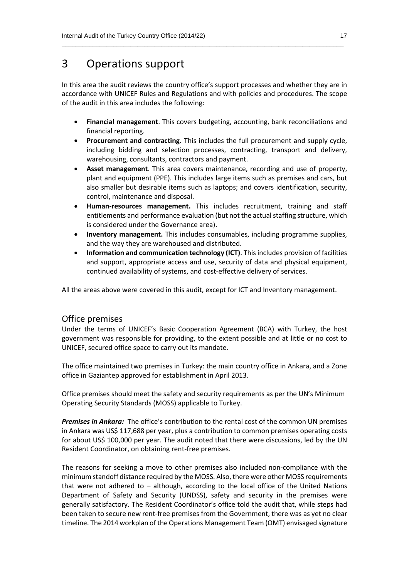## 3 Operations support

In this area the audit reviews the country office's support processes and whether they are in accordance with UNICEF Rules and Regulations and with policies and procedures. The scope of the audit in this area includes the following:

 $\_$  , and the set of the set of the set of the set of the set of the set of the set of the set of the set of the set of the set of the set of the set of the set of the set of the set of the set of the set of the set of th

- **Financial management**. This covers budgeting, accounting, bank reconciliations and financial reporting.
- **Procurement and contracting.** This includes the full procurement and supply cycle, including bidding and selection processes, contracting, transport and delivery, warehousing, consultants, contractors and payment.
- **Asset management**. This area covers maintenance, recording and use of property, plant and equipment (PPE). This includes large items such as premises and cars, but also smaller but desirable items such as laptops; and covers identification, security, control, maintenance and disposal.
- **Human-resources management.** This includes recruitment, training and staff entitlements and performance evaluation (but not the actual staffing structure, which is considered under the Governance area).
- **Inventory management.** This includes consumables, including programme supplies, and the way they are warehoused and distributed.
- **Information and communication technology (ICT)**. This includes provision of facilities and support, appropriate access and use, security of data and physical equipment, continued availability of systems, and cost-effective delivery of services.

All the areas above were covered in this audit, except for ICT and Inventory management.

#### Office premises

Under the terms of UNICEF's Basic Cooperation Agreement (BCA) with Turkey, the host government was responsible for providing, to the extent possible and at little or no cost to UNICEF, secured office space to carry out its mandate.

The office maintained two premises in Turkey: the main country office in Ankara, and a Zone office in Gaziantep approved for establishment in April 2013.

Office premises should meet the safety and security requirements as per the UN's Minimum Operating Security Standards (MOSS) applicable to Turkey.

*Premises in Ankara:* The office's contribution to the rental cost of the common UN premises in Ankara was US\$ 117,688 per year, plus a contribution to common premises operating costs for about US\$ 100,000 per year. The audit noted that there were discussions, led by the UN Resident Coordinator, on obtaining rent-free premises.

The reasons for seeking a move to other premises also included non-compliance with the minimum standoff distance required by the MOSS. Also, there were other MOSS requirements that were not adhered to – although, according to the local office of the United Nations Department of Safety and Security (UNDSS), safety and security in the premises were generally satisfactory. The Resident Coordinator's office told the audit that, while steps had been taken to secure new rent-free premises from the Government, there was as yet no clear timeline. The 2014 workplan of the Operations Management Team (OMT) envisaged signature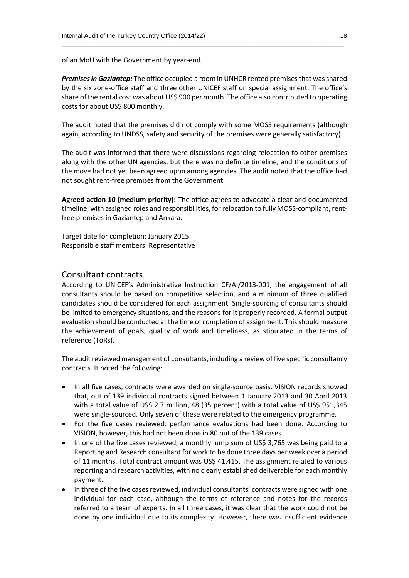of an MoU with the Government by year-end.

*Premises in Gaziantep:* The office occupied a room in UNHCR rented premises that was shared by the six zone-office staff and three other UNICEF staff on special assignment. The office's share of the rental cost was about US\$ 900 per month. The office also contributed to operating costs for about US\$ 800 monthly.

 $\_$  , and the set of the set of the set of the set of the set of the set of the set of the set of the set of the set of the set of the set of the set of the set of the set of the set of the set of the set of the set of th

The audit noted that the premises did not comply with some MOSS requirements (although again, according to UNDSS, safety and security of the premises were generally satisfactory).

The audit was informed that there were discussions regarding relocation to other premises along with the other UN agencies, but there was no definite timeline, and the conditions of the move had not yet been agreed upon among agencies. The audit noted that the office had not sought rent-free premises from the Government.

**Agreed action 10 (medium priority):** The office agrees to advocate a clear and documented timeline, with assigned roles and responsibilities, for relocation to fully MOSS-compliant, rentfree premises in Gaziantep and Ankara.

Target date for completion: January 2015 Responsible staff members: Representative

#### Consultant contracts

According to UNICEF's Administrative Instruction CF/AI/2013‐001, the engagement of all consultants should be based on competitive selection, and a minimum of three qualified candidates should be considered for each assignment. Single-sourcing of consultants should be limited to emergency situations, and the reasons for it properly recorded. A formal output evaluation should be conducted at the time of completion of assignment. Thisshould measure the achievement of goals, quality of work and timeliness, as stipulated in the terms of reference (ToRs).

The audit reviewed management of consultants, including a review of five specific consultancy contracts. It noted the following:

- In all five cases, contracts were awarded on single-source basis. VISION records showed that, out of 139 individual contracts signed between 1 January 2013 and 30 April 2013 with a total value of US\$ 2.7 million, 48 (35 percent) with a total value of US\$ 951,345 were single-sourced. Only seven of these were related to the emergency programme.
- For the five cases reviewed, performance evaluations had been done. According to VISION, however, this had not been done in 80 out of the 139 cases.
- In one of the five cases reviewed, a monthly lump sum of US\$ 3,765 was being paid to a Reporting and Research consultant for work to be done three days per week over a period of 11 months. Total contract amount was US\$ 41,415. The assignment related to various reporting and research activities, with no clearly established deliverable for each monthly payment.
- In three of the five cases reviewed, individual consultants' contracts were signed with one individual for each case, although the terms of reference and notes for the records referred to a team of experts. In all three cases, it was clear that the work could not be done by one individual due to its complexity. However, there was insufficient evidence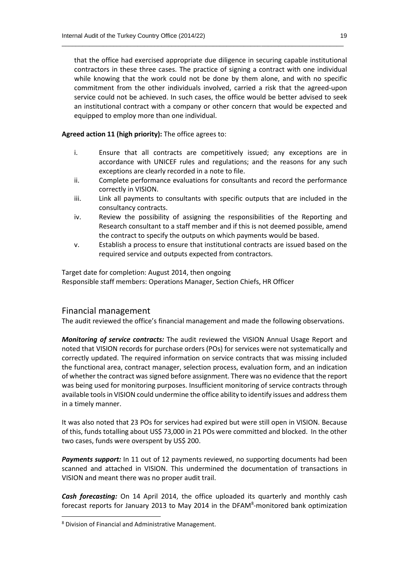that the office had exercised appropriate due diligence in securing capable institutional contractors in these three cases. The practice of signing a contract with one individual while knowing that the work could not be done by them alone, and with no specific commitment from the other individuals involved, carried a risk that the agreed-upon service could not be achieved. In such cases, the office would be better advised to seek an institutional contract with a company or other concern that would be expected and equipped to employ more than one individual.

 $\_$  , and the set of the set of the set of the set of the set of the set of the set of the set of the set of the set of the set of the set of the set of the set of the set of the set of the set of the set of the set of th

**Agreed action 11 (high priority):** The office agrees to:

- i. Ensure that all contracts are competitively issued; any exceptions are in accordance with UNICEF rules and regulations; and the reasons for any such exceptions are clearly recorded in a note to file.
- ii. Complete performance evaluations for consultants and record the performance correctly in VISION.
- iii. Link all payments to consultants with specific outputs that are included in the consultancy contracts.
- iv. Review the possibility of assigning the responsibilities of the Reporting and Research consultant to a staff member and if this is not deemed possible, amend the contract to specify the outputs on which payments would be based.
- v. Establish a process to ensure that institutional contracts are issued based on the required service and outputs expected from contractors.

Target date for completion: August 2014, then ongoing Responsible staff members: Operations Manager, Section Chiefs, HR Officer

#### Financial management

The audit reviewed the office's financial management and made the following observations.

*Monitoring of service contracts:* The audit reviewed the VISION Annual Usage Report and noted that VISION records for purchase orders (POs) for services were not systematically and correctly updated. The required information on service contracts that was missing included the functional area, contract manager, selection process, evaluation form, and an indication of whether the contract was signed before assignment. There was no evidence that the report was being used for monitoring purposes. Insufficient monitoring of service contracts through available tools in VISION could undermine the office ability to identify issues and address them in a timely manner.

It was also noted that 23 POs for services had expired but were still open in VISION. Because of this, funds totalling about US\$ 73,000 in 21 POs were committed and blocked. In the other two cases, funds were overspent by US\$ 200.

**Payments support:** In 11 out of 12 payments reviewed, no supporting documents had been scanned and attached in VISION. This undermined the documentation of transactions in VISION and meant there was no proper audit trail.

*Cash forecasting:* On 14 April 2014, the office uploaded its quarterly and monthly cash forecast reports for January 2013 to May 2014 in the DFAM<sup>8</sup>-monitored bank optimization

**.** 

<sup>8</sup> Division of Financial and Administrative Management.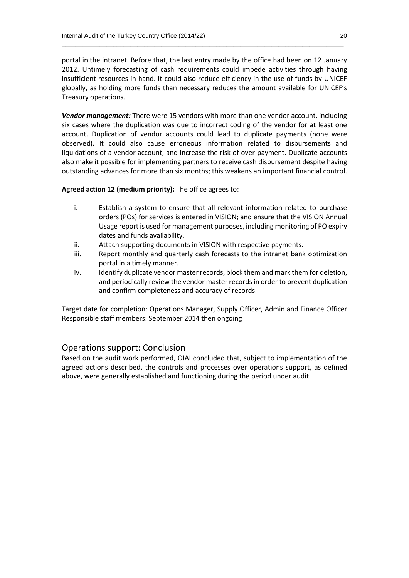portal in the intranet. Before that, the last entry made by the office had been on 12 January 2012. Untimely forecasting of cash requirements could impede activities through having insufficient resources in hand. It could also reduce efficiency in the use of funds by UNICEF globally, as holding more funds than necessary reduces the amount available for UNICEF's Treasury operations.

 $\_$  , and the set of the set of the set of the set of the set of the set of the set of the set of the set of the set of the set of the set of the set of the set of the set of the set of the set of the set of the set of th

*Vendor management:* There were 15 vendors with more than one vendor account, including six cases where the duplication was due to incorrect coding of the vendor for at least one account. Duplication of vendor accounts could lead to duplicate payments (none were observed). It could also cause erroneous information related to disbursements and liquidations of a vendor account, and increase the risk of over-payment. Duplicate accounts also make it possible for implementing partners to receive cash disbursement despite having outstanding advances for more than six months; this weakens an important financial control.

#### **Agreed action 12 (medium priority):** The office agrees to:

- i. Establish a system to ensure that all relevant information related to purchase orders (POs) for services is entered in VISION; and ensure that the VISION Annual Usage report is used for management purposes, including monitoring of PO expiry dates and funds availability.
- ii. Attach supporting documents in VISION with respective payments.
- iii. Report monthly and quarterly cash forecasts to the intranet bank optimization portal in a timely manner.
- iv. Identify duplicate vendor master records, block them and mark them for deletion, and periodically review the vendor master records in order to prevent duplication and confirm completeness and accuracy of records.

Target date for completion: Operations Manager, Supply Officer, Admin and Finance Officer Responsible staff members: September 2014 then ongoing

#### Operations support: Conclusion

Based on the audit work performed, OIAI concluded that, subject to implementation of the agreed actions described, the controls and processes over operations support, as defined above, were generally established and functioning during the period under audit.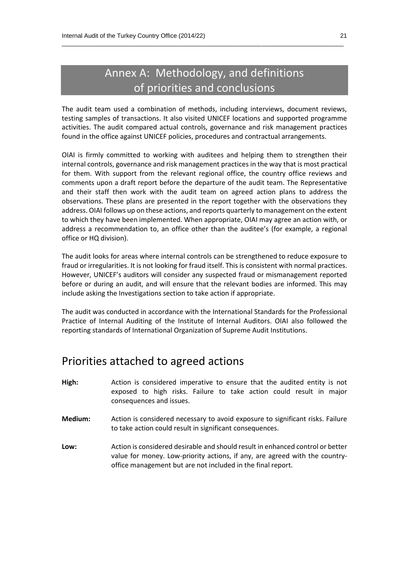# Annex A: Methodology, and definitions of priorities and conclusions

 $\_$  , and the set of the set of the set of the set of the set of the set of the set of the set of the set of the set of the set of the set of the set of the set of the set of the set of the set of the set of the set of th

The audit team used a combination of methods, including interviews, document reviews, testing samples of transactions. It also visited UNICEF locations and supported programme activities. The audit compared actual controls, governance and risk management practices found in the office against UNICEF policies, procedures and contractual arrangements.

OIAI is firmly committed to working with auditees and helping them to strengthen their internal controls, governance and risk management practices in the way that is most practical for them. With support from the relevant regional office, the country office reviews and comments upon a draft report before the departure of the audit team. The Representative and their staff then work with the audit team on agreed action plans to address the observations. These plans are presented in the report together with the observations they address. OIAI follows up on these actions, and reports quarterly to management on the extent to which they have been implemented. When appropriate, OIAI may agree an action with, or address a recommendation to, an office other than the auditee's (for example, a regional office or HQ division).

The audit looks for areas where internal controls can be strengthened to reduce exposure to fraud or irregularities. It is not looking for fraud itself. This is consistent with normal practices. However, UNICEF's auditors will consider any suspected fraud or mismanagement reported before or during an audit, and will ensure that the relevant bodies are informed. This may include asking the Investigations section to take action if appropriate.

The audit was conducted in accordance with the International Standards for the Professional Practice of Internal Auditing of the Institute of Internal Auditors. OIAI also followed the reporting standards of International Organization of Supreme Audit Institutions.

### Priorities attached to agreed actions

- **High:** Action is considered imperative to ensure that the audited entity is not exposed to high risks. Failure to take action could result in major consequences and issues.
- **Medium:** Action is considered necessary to avoid exposure to significant risks. Failure to take action could result in significant consequences.
- **Low:** Action is considered desirable and should result in enhanced control or better value for money. Low-priority actions, if any, are agreed with the countryoffice management but are not included in the final report.